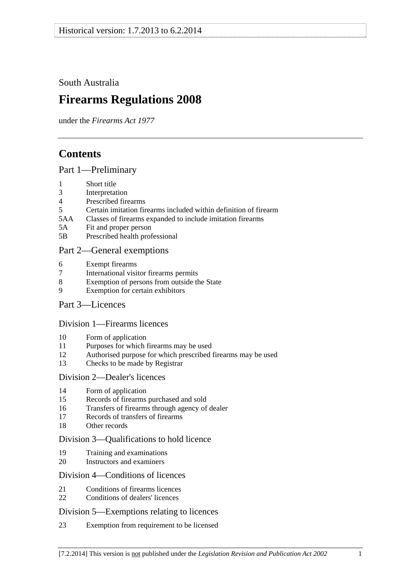<span id="page-0-0"></span>South Australia

# **Firearms Regulations 2008**

under the *Firearms Act 1977*

# **Contents**

[Part 1—Preliminary](#page-2-0)

- [1 Short title](#page-2-0)
- [3 Interpretation](#page-2-0)
- [4 Prescribed firearms](#page-3-0)
- [5 Certain imitation firearms included within definition of firearm](#page-3-0)
- [5AA Classes of firearms expanded to include imitation firearms](#page-4-0)
- [5A Fit and proper person](#page-4-0)
- [5B Prescribed health professional](#page-5-0)

### [Part 2—General exemptions](#page-5-0)

- [6 Exempt firearms](#page-5-0)
- [7 International visitor firearms permits](#page-6-0)
- [8 Exemption of persons from outside the State](#page-7-0)
- [9 Exemption for certain exhibitors](#page-7-0)
- [Part 3—Licences](#page-8-0)

#### [Division 1—Firearms licences](#page-8-0)

- [10 Form of application](#page-8-0)
- [11 Purposes for which firearms may be used](#page-8-0)
- [12 Authorised purpose for which prescribed firearms may be used](#page-9-0)
- [13 Checks to be made by Registrar](#page-9-0)

#### [Division 2—Dealer's licences](#page-9-0)

- [14 Form of application](#page-9-0)
- [15 Records of firearms purchased and sold](#page-9-0)
- [16 Transfers of firearms through agency of dealer](#page-9-0)
- [17 Records of transfers of firearms](#page-10-0)
- [18 Other records](#page-10-0)

#### [Division 3—Qualifications to hold licence](#page-11-0)

- [19 Training and examinations](#page-11-0)
- [20 Instructors and examiners](#page-11-0)

#### [Division 4—Conditions of licences](#page-12-0)

- [21 Conditions of firearms licences](#page-12-0)
- [22 Conditions of dealers' licences](#page-15-0)

#### [Division 5—Exemptions relating to licences](#page-16-0)

[23 Exemption from requirement to be licensed](#page-16-0)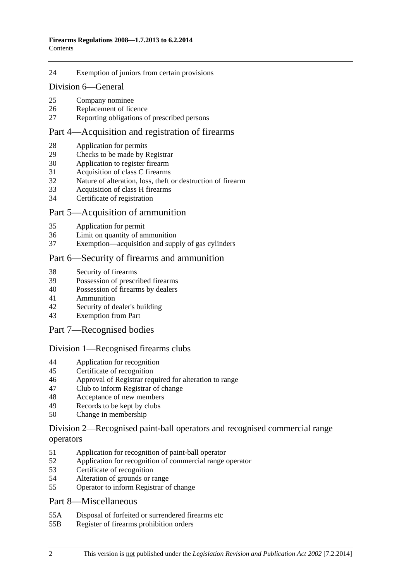#### [24 Exemption of juniors from certain provisions](#page-17-0)

#### [Division 6—General](#page-18-0)

- [25 Company nominee](#page-18-0)
- [26 Replacement of licence](#page-18-0)
- [27 Reporting obligations of prescribed persons](#page-18-0)

#### [Part 4—Acquisition and registration of firearms](#page-19-0)

- [28 Application for permits](#page-19-0)
- [29 Checks to be made by Registrar](#page-19-0)
- [30 Application to register firearm](#page-19-0)
- [31 Acquisition of class C firearms](#page-19-0)
- [32 Nature of alteration, loss, theft or destruction of firearm](#page-20-0)
- [33 Acquisition of class H firearms](#page-20-0)
- [34 Certificate of registration](#page-20-0)

#### [Part 5—Acquisition of ammunition](#page-21-0)

- [35 Application for permit](#page-21-0)
- [36 Limit on quantity of ammunition](#page-21-0)
- [37 Exemption—acquisition and supply of gas cylinders](#page-21-0)

#### [Part 6—Security of firearms and ammunition](#page-21-0)

- [38 Security of firearms](#page-21-0)
- [39 Possession of prescribed firearms](#page-22-0)
- [40 Possession of firearms by dealers](#page-22-0)
- [41 Ammunition](#page-22-0)
- [42 Security of dealer's building](#page-22-0)
- [43 Exemption from Part](#page-22-0)

#### [Part 7—Recognised bodies](#page-23-0)

#### [Division 1—Recognised firearms clubs](#page-23-0)

- [44 Application for recognition](#page-23-0)
- [45 Certificate of recognition](#page-23-0)
- [46 Approval of Registrar required for alteration to range](#page-23-0)
- [47 Club to inform Registrar of change](#page-24-0)
- [48 Acceptance of new members](#page-24-0)
- [49 Records to be kept by clubs](#page-24-0)
- [50 Change in membership](#page-25-0)

#### [Division 2—Recognised paint-ball operators and recognised commercial range](#page-25-0)  [operators](#page-25-0)

- [51 Application for recognition of paint-ball operator](#page-25-0)
- [52 Application for recognition of commercial range operator](#page-25-0)
- [53 Certificate of recognition](#page-26-0)
- [54 Alteration of grounds or range](#page-26-0)
- [55 Operator to inform Registrar of change](#page-26-0)

#### [Part 8—Miscellaneous](#page-27-0)

- [55A Disposal of forfeited or surrendered firearms etc](#page-27-0)
- [55B Register of firearms prohibition orders](#page-27-0)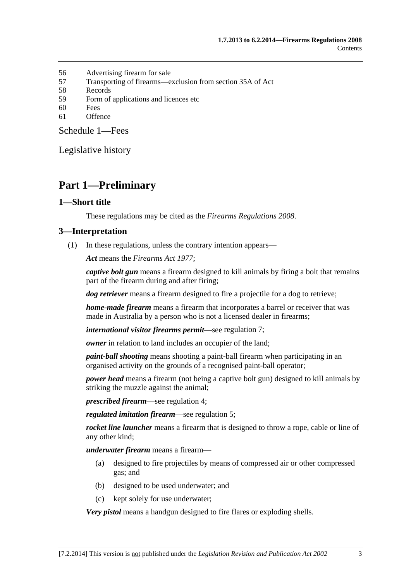- <span id="page-2-0"></span>[56 Advertising firearm for sale](#page-27-0)
- [57 Transporting of firearms—exclusion from section 35A of Act](#page-28-0)
- [58 Records](#page-28-0)
- [59 Form of applications and licences etc](#page-28-0)
- [60 Fees](#page-28-0)
- [61 Offence](#page-28-0)

[Schedule 1—Fees](#page-28-0) 

[Legislative history](#page-30-0) 

# **Part 1—Preliminary**

#### **1—Short title**

These regulations may be cited as the *Firearms Regulations 2008*.

#### **3—Interpretation**

(1) In these regulations, unless the contrary intention appears—

*Act* means the *[Firearms Act 1977](http://www.legislation.sa.gov.au/index.aspx?action=legref&type=act&legtitle=Firearms%20Act%201977)*;

*captive bolt gun* means a firearm designed to kill animals by firing a bolt that remains part of the firearm during and after firing;

*dog retriever* means a firearm designed to fire a projectile for a dog to retrieve;

*home-made firearm* means a firearm that incorporates a barrel or receiver that was made in Australia by a person who is not a licensed dealer in firearms;

*international visitor firearms permit*—see [regulation 7;](#page-6-0)

*owner* in relation to land includes an occupier of the land;

*paint-ball shooting* means shooting a paint-ball firearm when participating in an organised activity on the grounds of a recognised paint-ball operator;

*power head* means a firearm (not being a captive bolt gun) designed to kill animals by striking the muzzle against the animal;

*prescribed firearm*—see [regulation 4;](#page-3-0)

*regulated imitation firearm*—see [regulation 5](#page-0-0);

*rocket line launcher* means a firearm that is designed to throw a rope, cable or line of any other kind;

*underwater firearm* means a firearm—

- (a) designed to fire projectiles by means of compressed air or other compressed gas; and
- (b) designed to be used underwater; and
- (c) kept solely for use underwater;

*Very pistol* means a handgun designed to fire flares or exploding shells.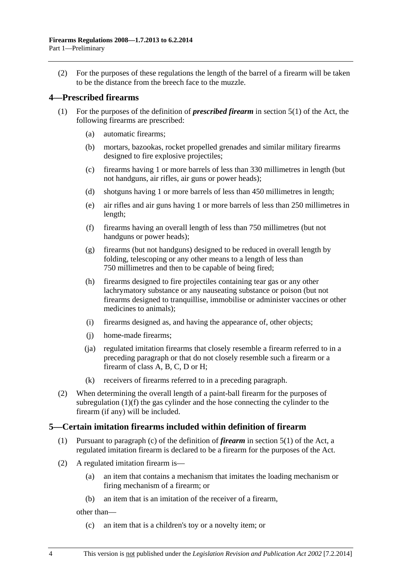<span id="page-3-0"></span> (2) For the purposes of these regulations the length of the barrel of a firearm will be taken to be the distance from the breech face to the muzzle.

#### **4—Prescribed firearms**

- (1) For the purposes of the definition of *prescribed firearm* in section 5(1) of the Act, the following firearms are prescribed:
	- (a) automatic firearms;
	- (b) mortars, bazookas, rocket propelled grenades and similar military firearms designed to fire explosive projectiles;
	- (c) firearms having 1 or more barrels of less than 330 millimetres in length (but not handguns, air rifles, air guns or power heads);
	- (d) shotguns having 1 or more barrels of less than 450 millimetres in length;
	- (e) air rifles and air guns having 1 or more barrels of less than 250 millimetres in length;
	- (f) firearms having an overall length of less than 750 millimetres (but not handguns or power heads);
	- (g) firearms (but not handguns) designed to be reduced in overall length by folding, telescoping or any other means to a length of less than 750 millimetres and then to be capable of being fired;
	- (h) firearms designed to fire projectiles containing tear gas or any other lachrymatory substance or any nauseating substance or poison (but not firearms designed to tranquillise, immobilise or administer vaccines or other medicines to animals);
	- (i) firearms designed as, and having the appearance of, other objects;
	- (j) home-made firearms;
	- (ja) regulated imitation firearms that closely resemble a firearm referred to in a preceding paragraph or that do not closely resemble such a firearm or a firearm of class A, B, C, D or H;
	- (k) receivers of firearms referred to in a preceding paragraph.
- (2) When determining the overall length of a paint-ball firearm for the purposes of [subregulation \(1\)\(f\)](#page-3-0) the gas cylinder and the hose connecting the cylinder to the firearm (if any) will be included.

#### **5—Certain imitation firearms included within definition of firearm**

- (1) Pursuant to paragraph (c) of the definition of *firearm* in section 5(1) of the Act, a regulated imitation firearm is declared to be a firearm for the purposes of the Act.
- (2) A regulated imitation firearm is—
	- (a) an item that contains a mechanism that imitates the loading mechanism or firing mechanism of a firearm; or
	- (b) an item that is an imitation of the receiver of a firearm,

other than—

(c) an item that is a children's toy or a novelty item; or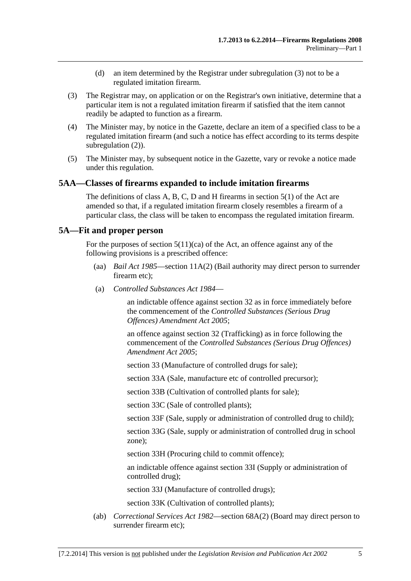- (d) an item determined by the Registrar under [subregulation \(3\)](#page-4-0) not to be a regulated imitation firearm.
- <span id="page-4-0"></span> (3) The Registrar may, on application or on the Registrar's own initiative, determine that a particular item is not a regulated imitation firearm if satisfied that the item cannot readily be adapted to function as a firearm.
- (4) The Minister may, by notice in the Gazette, declare an item of a specified class to be a regulated imitation firearm (and such a notice has effect according to its terms despite [subregulation \(2\)\)](#page-3-0).
- (5) The Minister may, by subsequent notice in the Gazette, vary or revoke a notice made under this regulation.

#### **5AA—Classes of firearms expanded to include imitation firearms**

The definitions of class A, B, C, D and H firearms in section 5(1) of the Act are amended so that, if a regulated imitation firearm closely resembles a firearm of a particular class, the class will be taken to encompass the regulated imitation firearm.

#### **5A—Fit and proper person**

For the purposes of section  $5(11)(ca)$  of the Act, an offence against any of the following provisions is a prescribed offence:

- (aa) *[Bail Act 1985](http://www.legislation.sa.gov.au/index.aspx?action=legref&type=act&legtitle=Bail%20Act%201985)*—section 11A(2) (Bail authority may direct person to surrender firearm etc);
- (a) *[Controlled Substances Act 1984](http://www.legislation.sa.gov.au/index.aspx?action=legref&type=act&legtitle=Controlled%20Substances%20Act%201984)*—

an indictable offence against section 32 as in force immediately before the commencement of the *[Controlled Substances \(Serious Drug](http://www.legislation.sa.gov.au/index.aspx?action=legref&type=act&legtitle=Controlled%20Substances%20(Serious%20Drug%20Offences)%20Amendment%20Act%202005)  [Offences\) Amendment Act 2005](http://www.legislation.sa.gov.au/index.aspx?action=legref&type=act&legtitle=Controlled%20Substances%20(Serious%20Drug%20Offences)%20Amendment%20Act%202005)*;

an offence against section 32 (Trafficking) as in force following the commencement of the *[Controlled Substances \(Serious Drug Offences\)](http://www.legislation.sa.gov.au/index.aspx?action=legref&type=act&legtitle=Controlled%20Substances%20(Serious%20Drug%20Offences)%20Amendment%20Act%202005)  [Amendment Act 2005](http://www.legislation.sa.gov.au/index.aspx?action=legref&type=act&legtitle=Controlled%20Substances%20(Serious%20Drug%20Offences)%20Amendment%20Act%202005)*;

section 33 (Manufacture of controlled drugs for sale);

section 33A (Sale, manufacture etc of controlled precursor);

section 33B (Cultivation of controlled plants for sale);

section 33C (Sale of controlled plants);

section 33F (Sale, supply or administration of controlled drug to child);

section 33G (Sale, supply or administration of controlled drug in school zone);

section 33H (Procuring child to commit offence);

an indictable offence against section 33I (Supply or administration of controlled drug);

section 33J (Manufacture of controlled drugs);

section 33K (Cultivation of controlled plants);

 (ab) *[Correctional Services Act 1982](http://www.legislation.sa.gov.au/index.aspx?action=legref&type=act&legtitle=Correctional%20Services%20Act%201982)*—section 68A(2) (Board may direct person to surrender firearm etc);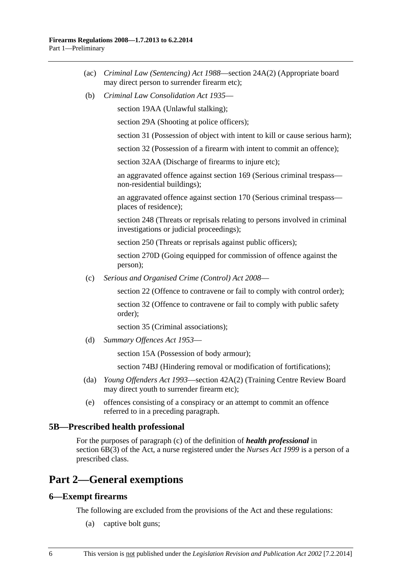- <span id="page-5-0"></span> (ac) *[Criminal Law \(Sentencing\) Act 1988](http://www.legislation.sa.gov.au/index.aspx?action=legref&type=act&legtitle=Criminal%20Law%20(Sentencing)%20Act%201988)*—section 24A(2) (Appropriate board may direct person to surrender firearm etc);
- (b) *[Criminal Law Consolidation Act 1935](http://www.legislation.sa.gov.au/index.aspx?action=legref&type=act&legtitle=Criminal%20Law%20Consolidation%20Act%201935)*—

section 19AA (Unlawful stalking);

section 29A (Shooting at police officers);

section 31 (Possession of object with intent to kill or cause serious harm);

section 32 (Possession of a firearm with intent to commit an offence);

section 32AA (Discharge of firearms to injure etc);

an aggravated offence against section 169 (Serious criminal trespass non-residential buildings);

an aggravated offence against section 170 (Serious criminal trespass places of residence);

section 248 (Threats or reprisals relating to persons involved in criminal investigations or judicial proceedings);

section 250 (Threats or reprisals against public officers);

section 270D (Going equipped for commission of offence against the person);

(c) *[Serious and Organised Crime \(Control\) Act 2008](http://www.legislation.sa.gov.au/index.aspx?action=legref&type=act&legtitle=Serious%20and%20Organised%20Crime%20(Control)%20Act%202008)*—

section 22 (Offence to contravene or fail to comply with control order);

section 32 (Offence to contravene or fail to comply with public safety order);

section 35 (Criminal associations);

(d) *[Summary Offences Act 1953](http://www.legislation.sa.gov.au/index.aspx?action=legref&type=act&legtitle=Summary%20Offences%20Act%201953)*—

section 15A (Possession of body armour);

section 74BJ (Hindering removal or modification of fortifications);

- (da) *[Young Offenders Act 1993](http://www.legislation.sa.gov.au/index.aspx?action=legref&type=act&legtitle=Young%20Offenders%20Act%201993)*—section 42A(2) (Training Centre Review Board may direct youth to surrender firearm etc);
- (e) offences consisting of a conspiracy or an attempt to commit an offence referred to in a preceding paragraph.

#### **5B—Prescribed health professional**

For the purposes of paragraph (c) of the definition of *health professional* in section 6B(3) of the Act, a nurse registered under the *[Nurses Act 1999](http://www.legislation.sa.gov.au/index.aspx?action=legref&type=act&legtitle=Nurses%20Act%201999)* is a person of a prescribed class.

# **Part 2—General exemptions**

#### **6—Exempt firearms**

The following are excluded from the provisions of the Act and these regulations:

(a) captive bolt guns;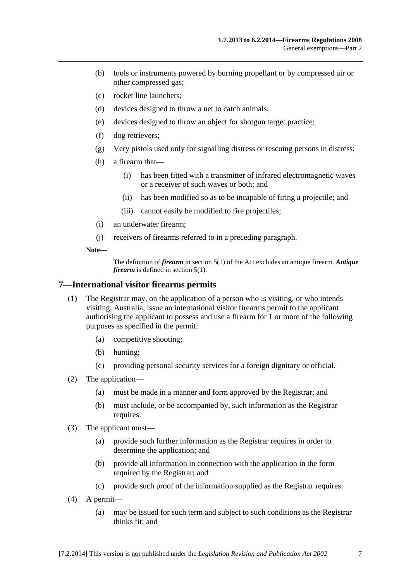- <span id="page-6-0"></span> (b) tools or instruments powered by burning propellant or by compressed air or other compressed gas;
- (c) rocket line launchers;
- (d) devices designed to throw a net to catch animals;
- (e) devices designed to throw an object for shotgun target practice;
- (f) dog retrievers;
- (g) Very pistols used only for signalling distress or rescuing persons in distress;
- (h) a firearm that—
	- (i) has been fitted with a transmitter of infrared electromagnetic waves or a receiver of such waves or both; and
	- (ii) has been modified so as to be incapable of firing a projectile; and
	- (iii) cannot easily be modified to fire projectiles;
- (i) an underwater firearm;
- (j) receivers of firearms referred to in a preceding paragraph.

**Note—** 

The definition of *firearm* in section 5(1) of the Act excludes an antique firearm. *Antique firearm* is defined in section 5(1).

#### **7—International visitor firearms permits**

- (1) The Registrar may, on the application of a person who is visiting, or who intends visiting, Australia, issue an international visitor firearms permit to the applicant authorising the applicant to possess and use a firearm for 1 or more of the following purposes as specified in the permit:
	- (a) competitive shooting;
	- (b) hunting;
	- (c) providing personal security services for a foreign dignitary or official.
- (2) The application—
	- (a) must be made in a manner and form approved by the Registrar; and
	- (b) must include, or be accompanied by, such information as the Registrar requires.
- (3) The applicant must—
	- (a) provide such further information as the Registrar requires in order to determine the application; and
	- (b) provide all information in connection with the application in the form required by the Registrar; and
	- (c) provide such proof of the information supplied as the Registrar requires.
- (4) A permit—
	- (a) may be issued for such term and subject to such conditions as the Registrar thinks fit; and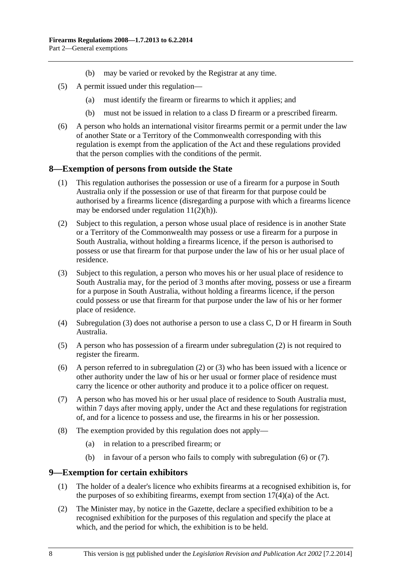- (b) may be varied or revoked by the Registrar at any time.
- <span id="page-7-0"></span> (5) A permit issued under this regulation—
	- (a) must identify the firearm or firearms to which it applies; and
	- (b) must not be issued in relation to a class D firearm or a prescribed firearm.
- (6) A person who holds an international visitor firearms permit or a permit under the law of another State or a Territory of the Commonwealth corresponding with this regulation is exempt from the application of the Act and these regulations provided that the person complies with the conditions of the permit.

#### **8—Exemption of persons from outside the State**

- (1) This regulation authorises the possession or use of a firearm for a purpose in South Australia only if the possession or use of that firearm for that purpose could be authorised by a firearms licence (disregarding a purpose with which a firearms licence may be endorsed under regulation  $11(2)(h)$ ).
- (2) Subject to this regulation, a person whose usual place of residence is in another State or a Territory of the Commonwealth may possess or use a firearm for a purpose in South Australia, without holding a firearms licence, if the person is authorised to possess or use that firearm for that purpose under the law of his or her usual place of residence.
- (3) Subject to this regulation, a person who moves his or her usual place of residence to South Australia may, for the period of 3 months after moving, possess or use a firearm for a purpose in South Australia, without holding a firearms licence, if the person could possess or use that firearm for that purpose under the law of his or her former place of residence.
- (4) [Subregulation \(3\)](#page-7-0) does not authorise a person to use a class C, D or H firearm in South Australia.
- (5) A person who has possession of a firearm under [subregulation \(2\)](#page-7-0) is not required to register the firearm.
- (6) A person referred to in [subregulation \(2\)](#page-7-0) or [\(3\)](#page-7-0) who has been issued with a licence or other authority under the law of his or her usual or former place of residence must carry the licence or other authority and produce it to a police officer on request.
- (7) A person who has moved his or her usual place of residence to South Australia must, within 7 days after moving apply, under the Act and these regulations for registration of, and for a licence to possess and use, the firearms in his or her possession.
- (8) The exemption provided by this regulation does not apply—
	- (a) in relation to a prescribed firearm; or
	- (b) in favour of a person who fails to comply with [subregulation \(6\)](#page-7-0) or [\(7\).](#page-7-0)

#### **9—Exemption for certain exhibitors**

- (1) The holder of a dealer's licence who exhibits firearms at a recognised exhibition is, for the purposes of so exhibiting firearms, exempt from section  $17(4)(a)$  of the Act.
- (2) The Minister may, by notice in the Gazette, declare a specified exhibition to be a recognised exhibition for the purposes of this regulation and specify the place at which, and the period for which, the exhibition is to be held.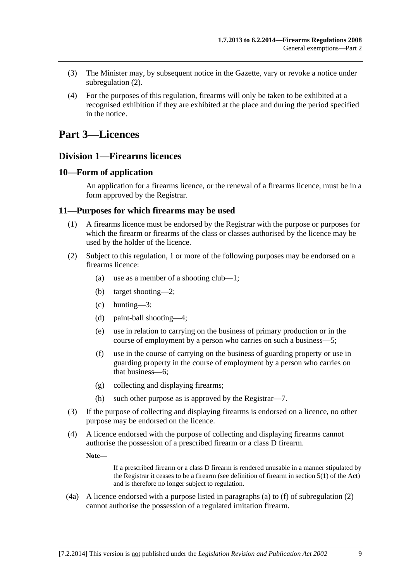- <span id="page-8-0"></span> (3) The Minister may, by subsequent notice in the Gazette, vary or revoke a notice under [subregulation \(2\).](#page-7-0)
- (4) For the purposes of this regulation, firearms will only be taken to be exhibited at a recognised exhibition if they are exhibited at the place and during the period specified in the notice.

# **Part 3—Licences**

### **Division 1—Firearms licences**

#### **10—Form of application**

An application for a firearms licence, or the renewal of a firearms licence, must be in a form approved by the Registrar.

#### **11—Purposes for which firearms may be used**

- (1) A firearms licence must be endorsed by the Registrar with the purpose or purposes for which the firearm or firearms of the class or classes authorised by the licence may be used by the holder of the licence.
- (2) Subject to this regulation, 1 or more of the following purposes may be endorsed on a firearms licence:
	- (a) use as a member of a shooting club—1;
	- (b) target shooting—2;
	- (c) hunting—3;
	- (d) paint-ball shooting—4;
	- (e) use in relation to carrying on the business of primary production or in the course of employment by a person who carries on such a business—5;
	- (f) use in the course of carrying on the business of guarding property or use in guarding property in the course of employment by a person who carries on that business—6;
	- (g) collecting and displaying firearms;
	- (h) such other purpose as is approved by the Registrar—7.
- (3) If the purpose of collecting and displaying firearms is endorsed on a licence, no other purpose may be endorsed on the licence.
- (4) A licence endorsed with the purpose of collecting and displaying firearms cannot authorise the possession of a prescribed firearm or a class D firearm.

**Note—** 

If a prescribed firearm or a class D firearm is rendered unusable in a manner stipulated by the Registrar it ceases to be a firearm (see definition of firearm in section 5(1) of the Act) and is therefore no longer subject to regulation.

 (4a) A licence endorsed with a purpose listed in paragraphs [\(a\)](#page-8-0) to [\(f\)](#page-8-0) of [subregulation \(2\)](#page-8-0)  cannot authorise the possession of a regulated imitation firearm.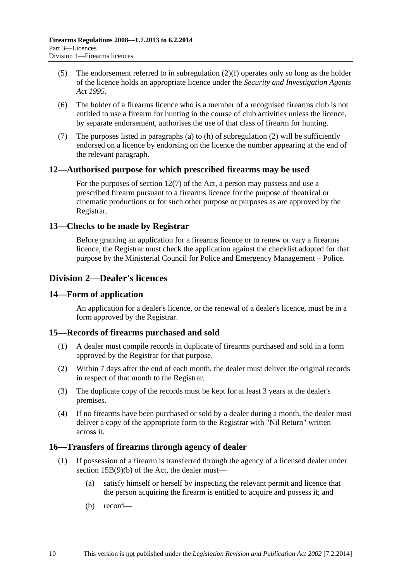- <span id="page-9-0"></span> (5) The endorsement referred to in [subregulation \(2\)\(f\)](#page-8-0) operates only so long as the holder of the licence holds an appropriate licence under the *[Security and Investigation Agents](http://www.legislation.sa.gov.au/index.aspx?action=legref&type=act&legtitle=Security%20and%20Investigation%20Agents%20Act%201995)  [Act 1995](http://www.legislation.sa.gov.au/index.aspx?action=legref&type=act&legtitle=Security%20and%20Investigation%20Agents%20Act%201995)*.
- (6) The holder of a firearms licence who is a member of a recognised firearms club is not entitled to use a firearm for hunting in the course of club activities unless the licence, by separate endorsement, authorises the use of that class of firearm for hunting.
- (7) The purposes listed in [paragraphs \(a\)](#page-8-0) to [\(h\)](#page-8-0) of [subregulation \(2\)](#page-8-0) will be sufficiently endorsed on a licence by endorsing on the licence the number appearing at the end of the relevant paragraph.

#### **12—Authorised purpose for which prescribed firearms may be used**

For the purposes of section 12(7) of the Act, a person may possess and use a prescribed firearm pursuant to a firearms licence for the purpose of theatrical or cinematic productions or for such other purpose or purposes as are approved by the Registrar.

#### **13—Checks to be made by Registrar**

Before granting an application for a firearms licence or to renew or vary a firearms licence, the Registrar must check the application against the checklist adopted for that purpose by the Ministerial Council for Police and Emergency Management – Police.

### **Division 2—Dealer's licences**

#### **14—Form of application**

An application for a dealer's licence, or the renewal of a dealer's licence, must be in a form approved by the Registrar.

#### **15—Records of firearms purchased and sold**

- (1) A dealer must compile records in duplicate of firearms purchased and sold in a form approved by the Registrar for that purpose.
- (2) Within 7 days after the end of each month, the dealer must deliver the original records in respect of that month to the Registrar.
- (3) The duplicate copy of the records must be kept for at least 3 years at the dealer's premises.
- (4) If no firearms have been purchased or sold by a dealer during a month, the dealer must deliver a copy of the appropriate form to the Registrar with "Nil Return" written across it.

#### **16—Transfers of firearms through agency of dealer**

- (1) If possession of a firearm is transferred through the agency of a licensed dealer under section 15B(9)(b) of the Act, the dealer must—
	- (a) satisfy himself or herself by inspecting the relevant permit and licence that the person acquiring the firearm is entitled to acquire and possess it; and
	- (b) record—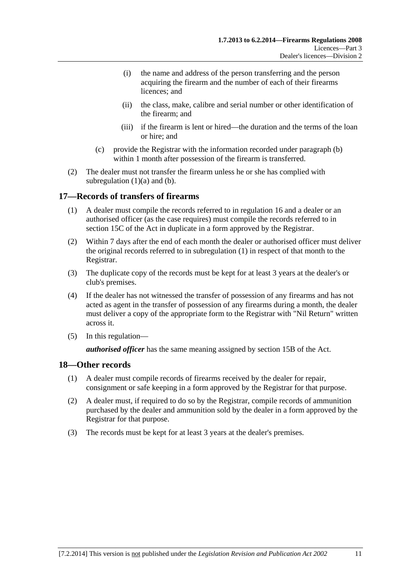- <span id="page-10-0"></span> (i) the name and address of the person transferring and the person acquiring the firearm and the number of each of their firearms licences; and
- (ii) the class, make, calibre and serial number or other identification of the firearm; and
- (iii) if the firearm is lent or hired—the duration and the terms of the loan or hire; and
- (c) provide the Registrar with the information recorded under [paragraph \(b\)](#page-9-0) within 1 month after possession of the firearm is transferred.
- (2) The dealer must not transfer the firearm unless he or she has complied with subregulation  $(1)(a)$  and  $(b)$ .

#### **17—Records of transfers of firearms**

- (1) A dealer must compile the records referred to in [regulation 16](#page-9-0) and a dealer or an authorised officer (as the case requires) must compile the records referred to in section 15C of the Act in duplicate in a form approved by the Registrar.
- (2) Within 7 days after the end of each month the dealer or authorised officer must deliver the original records referred to in [subregulation \(1\)](#page-10-0) in respect of that month to the Registrar.
- (3) The duplicate copy of the records must be kept for at least 3 years at the dealer's or club's premises.
- (4) If the dealer has not witnessed the transfer of possession of any firearms and has not acted as agent in the transfer of possession of any firearms during a month, the dealer must deliver a copy of the appropriate form to the Registrar with "Nil Return" written across it.
- (5) In this regulation—

*authorised officer* has the same meaning assigned by section 15B of the Act.

#### **18—Other records**

- (1) A dealer must compile records of firearms received by the dealer for repair, consignment or safe keeping in a form approved by the Registrar for that purpose.
- (2) A dealer must, if required to do so by the Registrar, compile records of ammunition purchased by the dealer and ammunition sold by the dealer in a form approved by the Registrar for that purpose.
- (3) The records must be kept for at least 3 years at the dealer's premises.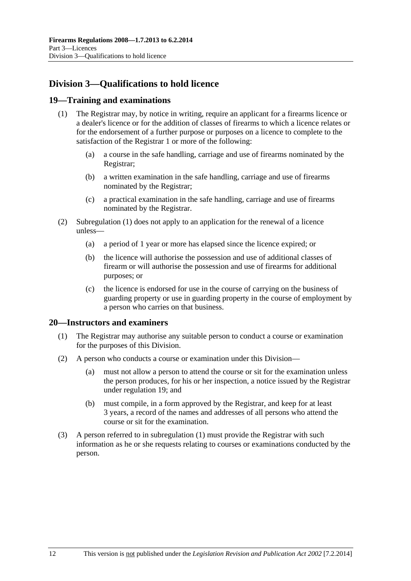# <span id="page-11-0"></span>**Division 3—Qualifications to hold licence**

#### **19—Training and examinations**

- (1) The Registrar may, by notice in writing, require an applicant for a firearms licence or a dealer's licence or for the addition of classes of firearms to which a licence relates or for the endorsement of a further purpose or purposes on a licence to complete to the satisfaction of the Registrar 1 or more of the following:
	- (a) a course in the safe handling, carriage and use of firearms nominated by the Registrar;
	- (b) a written examination in the safe handling, carriage and use of firearms nominated by the Registrar;
	- (c) a practical examination in the safe handling, carriage and use of firearms nominated by the Registrar.
- (2) [Subregulation \(1\)](#page-11-0) does not apply to an application for the renewal of a licence unless—
	- (a) a period of 1 year or more has elapsed since the licence expired; or
	- (b) the licence will authorise the possession and use of additional classes of firearm or will authorise the possession and use of firearms for additional purposes; or
	- (c) the licence is endorsed for use in the course of carrying on the business of guarding property or use in guarding property in the course of employment by a person who carries on that business.

#### **20—Instructors and examiners**

- (1) The Registrar may authorise any suitable person to conduct a course or examination for the purposes of this Division.
- (2) A person who conducts a course or examination under this Division—
	- (a) must not allow a person to attend the course or sit for the examination unless the person produces, for his or her inspection, a notice issued by the Registrar under [regulation 19](#page-11-0); and
	- (b) must compile, in a form approved by the Registrar, and keep for at least 3 years, a record of the names and addresses of all persons who attend the course or sit for the examination.
- (3) A person referred to in [subregulation \(1\)](#page-11-0) must provide the Registrar with such information as he or she requests relating to courses or examinations conducted by the person.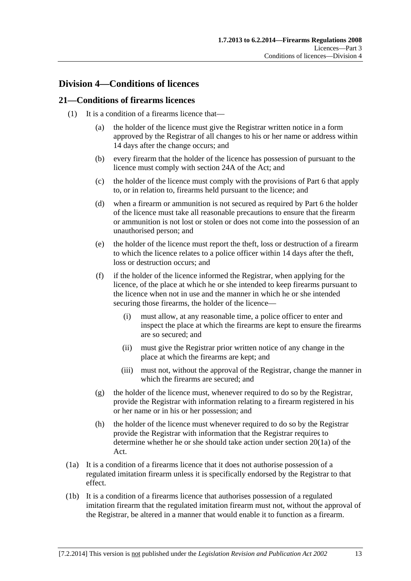## <span id="page-12-0"></span>**Division 4—Conditions of licences**

#### **21—Conditions of firearms licences**

- (1) It is a condition of a firearms licence that—
	- (a) the holder of the licence must give the Registrar written notice in a form approved by the Registrar of all changes to his or her name or address within 14 days after the change occurs; and
	- (b) every firearm that the holder of the licence has possession of pursuant to the licence must comply with section 24A of the Act; and
	- (c) the holder of the licence must comply with the provisions of [Part 6](#page-21-0) that apply to, or in relation to, firearms held pursuant to the licence; and
	- (d) when a firearm or ammunition is not secured as required by [Part 6](#page-21-0) the holder of the licence must take all reasonable precautions to ensure that the firearm or ammunition is not lost or stolen or does not come into the possession of an unauthorised person; and
	- (e) the holder of the licence must report the theft, loss or destruction of a firearm to which the licence relates to a police officer within 14 days after the theft, loss or destruction occurs; and
	- (f) if the holder of the licence informed the Registrar, when applying for the licence, of the place at which he or she intended to keep firearms pursuant to the licence when not in use and the manner in which he or she intended securing those firearms, the holder of the licence—
		- (i) must allow, at any reasonable time, a police officer to enter and inspect the place at which the firearms are kept to ensure the firearms are so secured; and
		- (ii) must give the Registrar prior written notice of any change in the place at which the firearms are kept; and
		- (iii) must not, without the approval of the Registrar, change the manner in which the firearms are secured; and
	- (g) the holder of the licence must, whenever required to do so by the Registrar, provide the Registrar with information relating to a firearm registered in his or her name or in his or her possession; and
	- (h) the holder of the licence must whenever required to do so by the Registrar provide the Registrar with information that the Registrar requires to determine whether he or she should take action under section 20(1a) of the Act.
- (1a) It is a condition of a firearms licence that it does not authorise possession of a regulated imitation firearm unless it is specifically endorsed by the Registrar to that effect.
- (1b) It is a condition of a firearms licence that authorises possession of a regulated imitation firearm that the regulated imitation firearm must not, without the approval of the Registrar, be altered in a manner that would enable it to function as a firearm.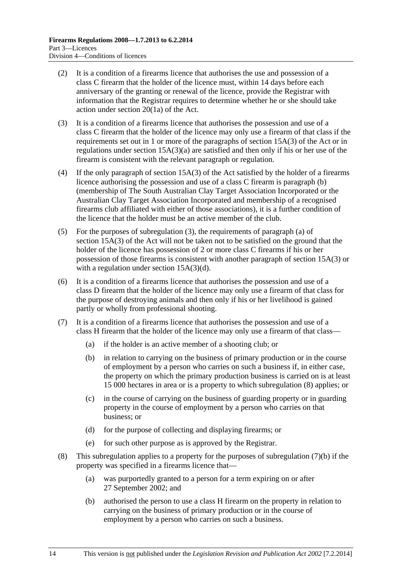- <span id="page-13-0"></span> (2) It is a condition of a firearms licence that authorises the use and possession of a class C firearm that the holder of the licence must, within 14 days before each anniversary of the granting or renewal of the licence, provide the Registrar with information that the Registrar requires to determine whether he or she should take action under section 20(1a) of the Act.
- (3) It is a condition of a firearms licence that authorises the possession and use of a class C firearm that the holder of the licence may only use a firearm of that class if the requirements set out in 1 or more of the paragraphs of section 15A(3) of the Act or in regulations under section 15A(3)(a) are satisfied and then only if his or her use of the firearm is consistent with the relevant paragraph or regulation.
- (4) If the only paragraph of section 15A(3) of the Act satisfied by the holder of a firearms licence authorising the possession and use of a class C firearm is paragraph (b) (membership of The South Australian Clay Target Association Incorporated or the Australian Clay Target Association Incorporated and membership of a recognised firearms club affiliated with either of those associations), it is a further condition of the licence that the holder must be an active member of the club.
- (5) For the purposes of [subregulation \(3\),](#page-13-0) the requirements of paragraph (a) of section 15A(3) of the Act will not be taken not to be satisfied on the ground that the holder of the licence has possession of 2 or more class C firearms if his or her possession of those firearms is consistent with another paragraph of section 15A(3) or with a regulation under section 15A(3)(d).
- (6) It is a condition of a firearms licence that authorises the possession and use of a class D firearm that the holder of the licence may only use a firearm of that class for the purpose of destroying animals and then only if his or her livelihood is gained partly or wholly from professional shooting.
- (7) It is a condition of a firearms licence that authorises the possession and use of a class H firearm that the holder of the licence may only use a firearm of that class—
	- (a) if the holder is an active member of a shooting club; or
	- (b) in relation to carrying on the business of primary production or in the course of employment by a person who carries on such a business if, in either case, the property on which the primary production business is carried on is at least 15 000 hectares in area or is a property to which [subregulation \(8\)](#page-13-0) applies; or
	- (c) in the course of carrying on the business of guarding property or in guarding property in the course of employment by a person who carries on that business; or
	- (d) for the purpose of collecting and displaying firearms; or
	- (e) for such other purpose as is approved by the Registrar.
- (8) This subregulation applies to a property for the purposes of [subregulation \(7\)\(b\)](#page-13-0) if the property was specified in a firearms licence that—
	- (a) was purportedly granted to a person for a term expiring on or after 27 September 2002; and
	- (b) authorised the person to use a class H firearm on the property in relation to carrying on the business of primary production or in the course of employment by a person who carries on such a business.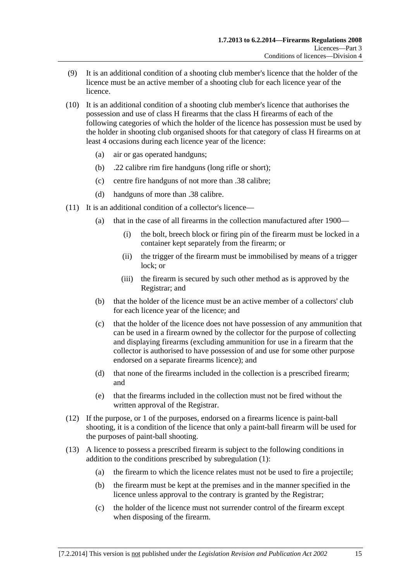- (9) It is an additional condition of a shooting club member's licence that the holder of the licence must be an active member of a shooting club for each licence year of the licence.
- (10) It is an additional condition of a shooting club member's licence that authorises the possession and use of class H firearms that the class H firearms of each of the following categories of which the holder of the licence has possession must be used by the holder in shooting club organised shoots for that category of class H firearms on at least 4 occasions during each licence year of the licence:
	- (a) air or gas operated handguns;
	- (b) .22 calibre rim fire handguns (long rifle or short);
	- (c) centre fire handguns of not more than .38 calibre;
	- (d) handguns of more than .38 calibre.
- (11) It is an additional condition of a collector's licence—
	- (a) that in the case of all firearms in the collection manufactured after 1900—
		- (i) the bolt, breech block or firing pin of the firearm must be locked in a container kept separately from the firearm; or
		- (ii) the trigger of the firearm must be immobilised by means of a trigger lock; or
		- (iii) the firearm is secured by such other method as is approved by the Registrar; and
	- (b) that the holder of the licence must be an active member of a collectors' club for each licence year of the licence; and
	- (c) that the holder of the licence does not have possession of any ammunition that can be used in a firearm owned by the collector for the purpose of collecting and displaying firearms (excluding ammunition for use in a firearm that the collector is authorised to have possession of and use for some other purpose endorsed on a separate firearms licence); and
	- (d) that none of the firearms included in the collection is a prescribed firearm; and
	- (e) that the firearms included in the collection must not be fired without the written approval of the Registrar.
- (12) If the purpose, or 1 of the purposes, endorsed on a firearms licence is paint-ball shooting, it is a condition of the licence that only a paint-ball firearm will be used for the purposes of paint-ball shooting.
- (13) A licence to possess a prescribed firearm is subject to the following conditions in addition to the conditions prescribed by [subregulation \(1\):](#page-12-0)
	- (a) the firearm to which the licence relates must not be used to fire a projectile;
	- (b) the firearm must be kept at the premises and in the manner specified in the licence unless approval to the contrary is granted by the Registrar;
	- (c) the holder of the licence must not surrender control of the firearm except when disposing of the firearm.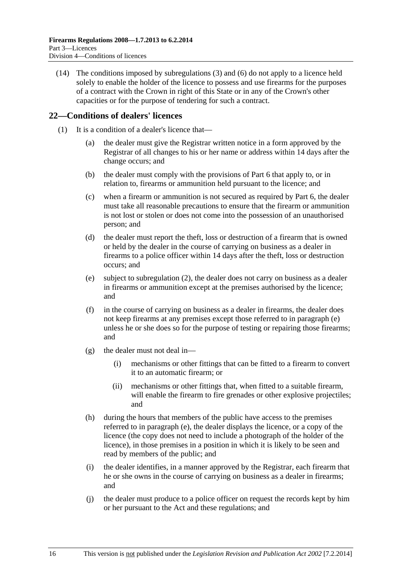<span id="page-15-0"></span> (14) The conditions imposed by [subregulations \(3\)](#page-13-0) and [\(6\)](#page-13-0) do not apply to a licence held solely to enable the holder of the licence to possess and use firearms for the purposes of a contract with the Crown in right of this State or in any of the Crown's other capacities or for the purpose of tendering for such a contract.

#### **22—Conditions of dealers' licences**

- (1) It is a condition of a dealer's licence that—
	- (a) the dealer must give the Registrar written notice in a form approved by the Registrar of all changes to his or her name or address within 14 days after the change occurs; and
	- (b) the dealer must comply with the provisions of [Part 6](#page-21-0) that apply to, or in relation to, firearms or ammunition held pursuant to the licence; and
	- (c) when a firearm or ammunition is not secured as required by [Part 6,](#page-21-0) the dealer must take all reasonable precautions to ensure that the firearm or ammunition is not lost or stolen or does not come into the possession of an unauthorised person; and
	- (d) the dealer must report the theft, loss or destruction of a firearm that is owned or held by the dealer in the course of carrying on business as a dealer in firearms to a police officer within 14 days after the theft, loss or destruction occurs; and
	- (e) subject to [subregulation \(2\)](#page-16-0), the dealer does not carry on business as a dealer in firearms or ammunition except at the premises authorised by the licence; and
	- (f) in the course of carrying on business as a dealer in firearms, the dealer does not keep firearms at any premises except those referred to in [paragraph \(e\)](#page-15-0)  unless he or she does so for the purpose of testing or repairing those firearms; and
	- (g) the dealer must not deal in—
		- (i) mechanisms or other fittings that can be fitted to a firearm to convert it to an automatic firearm; or
		- (ii) mechanisms or other fittings that, when fitted to a suitable firearm, will enable the firearm to fire grenades or other explosive projectiles; and
	- (h) during the hours that members of the public have access to the premises referred to in [paragraph \(e\),](#page-15-0) the dealer displays the licence, or a copy of the licence (the copy does not need to include a photograph of the holder of the licence), in those premises in a position in which it is likely to be seen and read by members of the public; and
	- (i) the dealer identifies, in a manner approved by the Registrar, each firearm that he or she owns in the course of carrying on business as a dealer in firearms; and
	- (j) the dealer must produce to a police officer on request the records kept by him or her pursuant to the Act and these regulations; and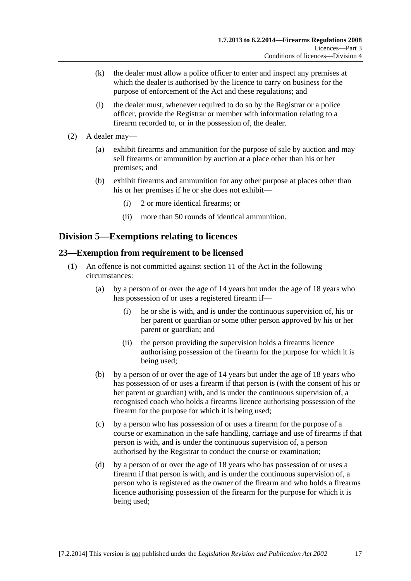- <span id="page-16-0"></span> (k) the dealer must allow a police officer to enter and inspect any premises at which the dealer is authorised by the licence to carry on business for the purpose of enforcement of the Act and these regulations; and
- (l) the dealer must, whenever required to do so by the Registrar or a police officer, provide the Registrar or member with information relating to a firearm recorded to, or in the possession of, the dealer.
- (2) A dealer may—
	- (a) exhibit firearms and ammunition for the purpose of sale by auction and may sell firearms or ammunition by auction at a place other than his or her premises; and
	- (b) exhibit firearms and ammunition for any other purpose at places other than his or her premises if he or she does not exhibit—
		- (i) 2 or more identical firearms; or
		- (ii) more than 50 rounds of identical ammunition.

## **Division 5—Exemptions relating to licences**

#### **23—Exemption from requirement to be licensed**

- (1) An offence is not committed against section 11 of the Act in the following circumstances:
	- (a) by a person of or over the age of 14 years but under the age of 18 years who has possession of or uses a registered firearm if—
		- (i) he or she is with, and is under the continuous supervision of, his or her parent or guardian or some other person approved by his or her parent or guardian; and
		- (ii) the person providing the supervision holds a firearms licence authorising possession of the firearm for the purpose for which it is being used;
	- (b) by a person of or over the age of 14 years but under the age of 18 years who has possession of or uses a firearm if that person is (with the consent of his or her parent or guardian) with, and is under the continuous supervision of, a recognised coach who holds a firearms licence authorising possession of the firearm for the purpose for which it is being used;
	- (c) by a person who has possession of or uses a firearm for the purpose of a course or examination in the safe handling, carriage and use of firearms if that person is with, and is under the continuous supervision of, a person authorised by the Registrar to conduct the course or examination;
	- (d) by a person of or over the age of 18 years who has possession of or uses a firearm if that person is with, and is under the continuous supervision of, a person who is registered as the owner of the firearm and who holds a firearms licence authorising possession of the firearm for the purpose for which it is being used;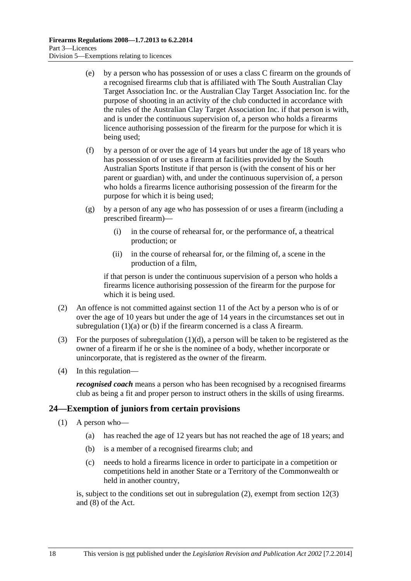- <span id="page-17-0"></span> (e) by a person who has possession of or uses a class C firearm on the grounds of a recognised firearms club that is affiliated with The South Australian Clay Target Association Inc. or the Australian Clay Target Association Inc. for the purpose of shooting in an activity of the club conducted in accordance with the rules of the Australian Clay Target Association Inc. if that person is with, and is under the continuous supervision of, a person who holds a firearms licence authorising possession of the firearm for the purpose for which it is being used;
- (f) by a person of or over the age of 14 years but under the age of 18 years who has possession of or uses a firearm at facilities provided by the South Australian Sports Institute if that person is (with the consent of his or her parent or guardian) with, and under the continuous supervision of, a person who holds a firearms licence authorising possession of the firearm for the purpose for which it is being used;
- (g) by a person of any age who has possession of or uses a firearm (including a prescribed firearm)—
	- (i) in the course of rehearsal for, or the performance of, a theatrical production; or
	- (ii) in the course of rehearsal for, or the filming of, a scene in the production of a film,

if that person is under the continuous supervision of a person who holds a firearms licence authorising possession of the firearm for the purpose for which it is being used.

- (2) An offence is not committed against section 11 of the Act by a person who is of or over the age of 10 years but under the age of 14 years in the circumstances set out in [subregulation \(1\)\(a\)](#page-16-0) or [\(b\)](#page-16-0) if the firearm concerned is a class A firearm.
- (3) For the purposes of subregulation  $(1)(d)$ , a person will be taken to be registered as the owner of a firearm if he or she is the nominee of a body, whether incorporate or unincorporate, that is registered as the owner of the firearm.
- (4) In this regulation—

*recognised coach* means a person who has been recognised by a recognised firearms club as being a fit and proper person to instruct others in the skills of using firearms.

#### **24—Exemption of juniors from certain provisions**

- (1) A person who—
	- (a) has reached the age of 12 years but has not reached the age of 18 years; and
	- (b) is a member of a recognised firearms club; and
	- (c) needs to hold a firearms licence in order to participate in a competition or competitions held in another State or a Territory of the Commonwealth or held in another country,

is, subject to the conditions set out in [subregulation \(2\)](#page-18-0), exempt from section 12(3) and (8) of the Act.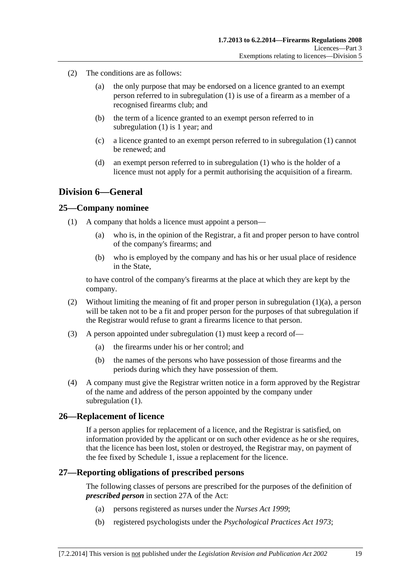- <span id="page-18-0"></span> (2) The conditions are as follows:
	- (a) the only purpose that may be endorsed on a licence granted to an exempt person referred to in [subregulation \(1\)](#page-17-0) is use of a firearm as a member of a recognised firearms club; and
	- (b) the term of a licence granted to an exempt person referred to in [subregulation \(1\)](#page-17-0) is 1 year; and
	- (c) a licence granted to an exempt person referred to in [subregulation \(1\)](#page-17-0) cannot be renewed; and
	- (d) an exempt person referred to in [subregulation \(1\)](#page-17-0) who is the holder of a licence must not apply for a permit authorising the acquisition of a firearm.

## **Division 6—General**

#### **25—Company nominee**

- (1) A company that holds a licence must appoint a person—
	- (a) who is, in the opinion of the Registrar, a fit and proper person to have control of the company's firearms; and
	- (b) who is employed by the company and has his or her usual place of residence in the State,

to have control of the company's firearms at the place at which they are kept by the company.

- (2) Without limiting the meaning of fit and proper person in [subregulation \(1\)\(a\),](#page-18-0) a person will be taken not to be a fit and proper person for the purposes of that subregulation if the Registrar would refuse to grant a firearms licence to that person.
- (3) A person appointed under [subregulation \(1\)](#page-18-0) must keep a record of—
	- (a) the firearms under his or her control; and
	- (b) the names of the persons who have possession of those firearms and the periods during which they have possession of them.
- (4) A company must give the Registrar written notice in a form approved by the Registrar of the name and address of the person appointed by the company under subregulation  $(1)$ .

#### **26—Replacement of licence**

If a person applies for replacement of a licence, and the Registrar is satisfied, on information provided by the applicant or on such other evidence as he or she requires, that the licence has been lost, stolen or destroyed, the Registrar may, on payment of the fee fixed by [Schedule 1](#page-0-0), issue a replacement for the licence.

#### **27—Reporting obligations of prescribed persons**

The following classes of persons are prescribed for the purposes of the definition of *prescribed person* in section 27A of the Act:

- (a) persons registered as nurses under the *[Nurses Act 1999](http://www.legislation.sa.gov.au/index.aspx?action=legref&type=act&legtitle=Nurses%20Act%201999)*;
- (b) registered psychologists under the *[Psychological Practices Act 1973](http://www.legislation.sa.gov.au/index.aspx?action=legref&type=act&legtitle=Psychological%20Practices%20Act%201973)*;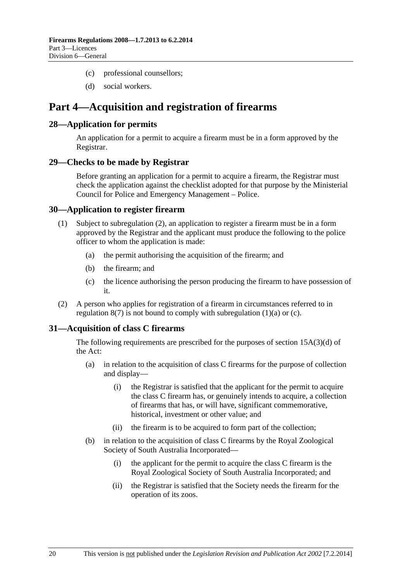- <span id="page-19-0"></span>(c) professional counsellors;
- (d) social workers.

# **Part 4—Acquisition and registration of firearms**

#### **28—Application for permits**

An application for a permit to acquire a firearm must be in a form approved by the Registrar.

#### **29—Checks to be made by Registrar**

Before granting an application for a permit to acquire a firearm, the Registrar must check the application against the checklist adopted for that purpose by the Ministerial Council for Police and Emergency Management – Police.

#### **30—Application to register firearm**

- (1) Subject to [subregulation \(2\),](#page-19-0) an application to register a firearm must be in a form approved by the Registrar and the applicant must produce the following to the police officer to whom the application is made:
	- (a) the permit authorising the acquisition of the firearm; and
	- (b) the firearm; and
	- (c) the licence authorising the person producing the firearm to have possession of it.
- (2) A person who applies for registration of a firearm in circumstances referred to in regulation  $8(7)$  is not bound to comply with subregulation  $(1)(a)$  or  $(c)$ .

#### **31—Acquisition of class C firearms**

The following requirements are prescribed for the purposes of section 15A(3)(d) of the Act:

- (a) in relation to the acquisition of class C firearms for the purpose of collection and display—
	- (i) the Registrar is satisfied that the applicant for the permit to acquire the class C firearm has, or genuinely intends to acquire, a collection of firearms that has, or will have, significant commemorative, historical, investment or other value; and
	- (ii) the firearm is to be acquired to form part of the collection;
- (b) in relation to the acquisition of class C firearms by the Royal Zoological Society of South Australia Incorporated—
	- (i) the applicant for the permit to acquire the class C firearm is the Royal Zoological Society of South Australia Incorporated; and
	- (ii) the Registrar is satisfied that the Society needs the firearm for the operation of its zoos.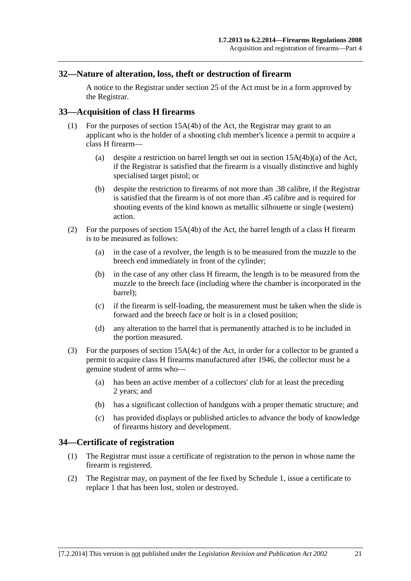#### <span id="page-20-0"></span>**32—Nature of alteration, loss, theft or destruction of firearm**

A notice to the Registrar under section 25 of the Act must be in a form approved by the Registrar.

#### **33—Acquisition of class H firearms**

- (1) For the purposes of section 15A(4b) of the Act, the Registrar may grant to an applicant who is the holder of a shooting club member's licence a permit to acquire a class H firearm—
	- (a) despite a restriction on barrel length set out in section 15A(4b)(a) of the Act, if the Registrar is satisfied that the firearm is a visually distinctive and highly specialised target pistol; or
	- (b) despite the restriction to firearms of not more than .38 calibre, if the Registrar is satisfied that the firearm is of not more than .45 calibre and is required for shooting events of the kind known as metallic silhouette or single (western) action.
- (2) For the purposes of section 15A(4b) of the Act, the barrel length of a class H firearm is to be measured as follows:
	- (a) in the case of a revolver, the length is to be measured from the muzzle to the breech end immediately in front of the cylinder;
	- (b) in the case of any other class H firearm, the length is to be measured from the muzzle to the breech face (including where the chamber is incorporated in the barrel);
	- (c) if the firearm is self-loading, the measurement must be taken when the slide is forward and the breech face or bolt is in a closed position;
	- (d) any alteration to the barrel that is permanently attached is to be included in the portion measured.
- (3) For the purposes of section 15A(4c) of the Act, in order for a collector to be granted a permit to acquire class H firearms manufactured after 1946, the collector must be a genuine student of arms who—
	- (a) has been an active member of a collectors' club for at least the preceding 2 years; and
	- (b) has a significant collection of handguns with a proper thematic structure; and
	- (c) has provided displays or published articles to advance the body of knowledge of firearms history and development.

#### **34—Certificate of registration**

- (1) The Registrar must issue a certificate of registration to the person in whose name the firearm is registered.
- (2) The Registrar may, on payment of the fee fixed by [Schedule 1,](#page-0-0) issue a certificate to replace 1 that has been lost, stolen or destroyed.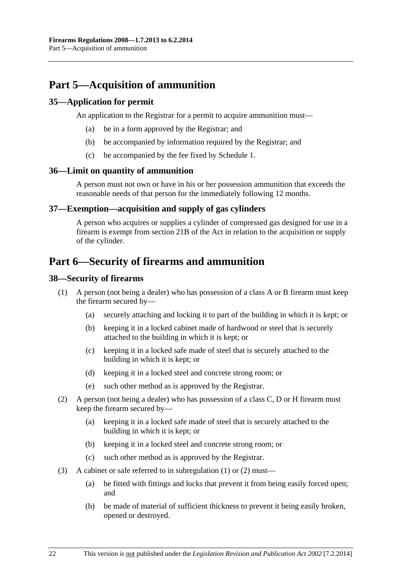# <span id="page-21-0"></span>**Part 5—Acquisition of ammunition**

#### **35—Application for permit**

An application to the Registrar for a permit to acquire ammunition must—

- (a) be in a form approved by the Registrar; and
- (b) be accompanied by information required by the Registrar; and
- (c) be accompanied by the fee fixed by [Schedule 1.](#page-0-0)

#### **36—Limit on quantity of ammunition**

A person must not own or have in his or her possession ammunition that exceeds the reasonable needs of that person for the immediately following 12 months.

#### **37—Exemption—acquisition and supply of gas cylinders**

A person who acquires or supplies a cylinder of compressed gas designed for use in a firearm is exempt from section 21B of the Act in relation to the acquisition or supply of the cylinder.

# **Part 6—Security of firearms and ammunition**

#### **38—Security of firearms**

- (1) A person (not being a dealer) who has possession of a class A or B firearm must keep the firearm secured by—
	- (a) securely attaching and locking it to part of the building in which it is kept; or
	- (b) keeping it in a locked cabinet made of hardwood or steel that is securely attached to the building in which it is kept; or
	- (c) keeping it in a locked safe made of steel that is securely attached to the building in which it is kept; or
	- (d) keeping it in a locked steel and concrete strong room; or
	- (e) such other method as is approved by the Registrar.
- (2) A person (not being a dealer) who has possession of a class C, D or H firearm must keep the firearm secured by—
	- (a) keeping it in a locked safe made of steel that is securely attached to the building in which it is kept; or
	- (b) keeping it in a locked steel and concrete strong room; or
	- (c) such other method as is approved by the Registrar.
- (3) A cabinet or safe referred to in [subregulation \(1\)](#page-21-0) or [\(2\)](#page-21-0) must—
	- (a) be fitted with fittings and locks that prevent it from being easily forced open; and
	- (b) be made of material of sufficient thickness to prevent it being easily broken, opened or destroyed.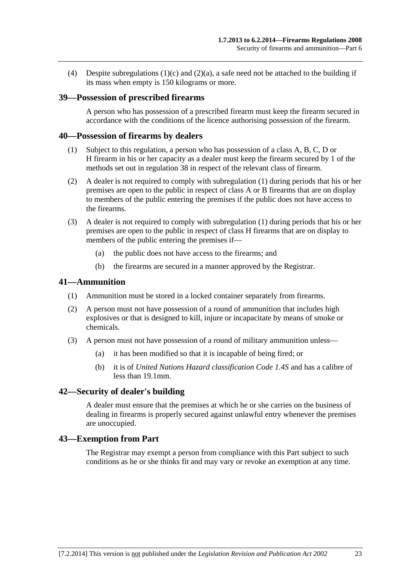<span id="page-22-0"></span>(4) Despite subregulations  $(1)(c)$  and  $(2)(a)$ , a safe need not be attached to the building if its mass when empty is 150 kilograms or more.

#### **39—Possession of prescribed firearms**

A person who has possession of a prescribed firearm must keep the firearm secured in accordance with the conditions of the licence authorising possession of the firearm.

#### **40—Possession of firearms by dealers**

- (1) Subject to this regulation, a person who has possession of a class A, B, C, D or H firearm in his or her capacity as a dealer must keep the firearm secured by 1 of the methods set out in [regulation 38](#page-21-0) in respect of the relevant class of firearm.
- (2) A dealer is not required to comply with [subregulation \(1\)](#page-22-0) during periods that his or her premises are open to the public in respect of class A or B firearms that are on display to members of the public entering the premises if the public does not have access to the firearms.
- (3) A dealer is not required to comply with [subregulation \(1\)](#page-22-0) during periods that his or her premises are open to the public in respect of class H firearms that are on display to members of the public entering the premises if—
	- (a) the public does not have access to the firearms; and
	- (b) the firearms are secured in a manner approved by the Registrar.

#### **41—Ammunition**

- (1) Ammunition must be stored in a locked container separately from firearms.
- (2) A person must not have possession of a round of ammunition that includes high explosives or that is designed to kill, injure or incapacitate by means of smoke or chemicals.
- (3) A person must not have possession of a round of military ammunition unless—
	- (a) it has been modified so that it is incapable of being fired; or
	- (b) it is of *United Nations Hazard classification Code 1.4S* and has a calibre of less than 19.1mm.

#### **42—Security of dealer's building**

A dealer must ensure that the premises at which he or she carries on the business of dealing in firearms is properly secured against unlawful entry whenever the premises are unoccupied.

#### **43—Exemption from Part**

The Registrar may exempt a person from compliance with this Part subject to such conditions as he or she thinks fit and may vary or revoke an exemption at any time.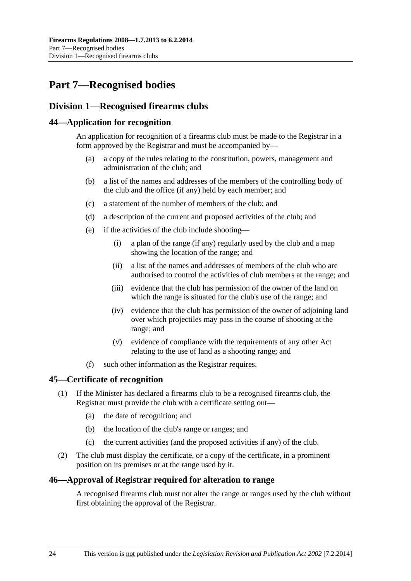# <span id="page-23-0"></span>**Part 7—Recognised bodies**

## **Division 1—Recognised firearms clubs**

#### **44—Application for recognition**

An application for recognition of a firearms club must be made to the Registrar in a form approved by the Registrar and must be accompanied by—

- (a) a copy of the rules relating to the constitution, powers, management and administration of the club; and
- (b) a list of the names and addresses of the members of the controlling body of the club and the office (if any) held by each member; and
- (c) a statement of the number of members of the club; and
- (d) a description of the current and proposed activities of the club; and
- (e) if the activities of the club include shooting—
	- (i) a plan of the range (if any) regularly used by the club and a map showing the location of the range; and
	- (ii) a list of the names and addresses of members of the club who are authorised to control the activities of club members at the range; and
	- (iii) evidence that the club has permission of the owner of the land on which the range is situated for the club's use of the range; and
	- (iv) evidence that the club has permission of the owner of adjoining land over which projectiles may pass in the course of shooting at the range; and
	- (v) evidence of compliance with the requirements of any other Act relating to the use of land as a shooting range; and
- (f) such other information as the Registrar requires.

#### **45—Certificate of recognition**

- (1) If the Minister has declared a firearms club to be a recognised firearms club, the Registrar must provide the club with a certificate setting out—
	- (a) the date of recognition; and
	- (b) the location of the club's range or ranges; and
	- (c) the current activities (and the proposed activities if any) of the club.
- (2) The club must display the certificate, or a copy of the certificate, in a prominent position on its premises or at the range used by it.

#### **46—Approval of Registrar required for alteration to range**

A recognised firearms club must not alter the range or ranges used by the club without first obtaining the approval of the Registrar.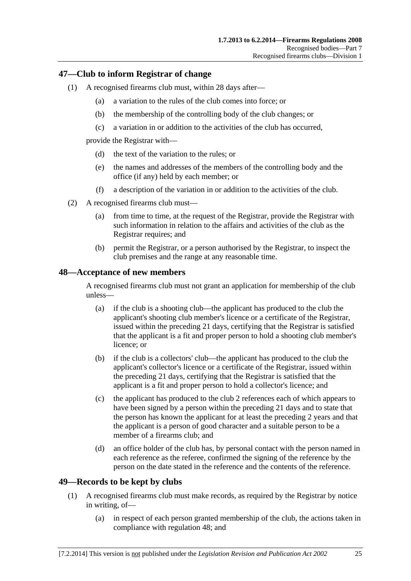#### <span id="page-24-0"></span>**47—Club to inform Registrar of change**

- (1) A recognised firearms club must, within 28 days after—
	- (a) a variation to the rules of the club comes into force; or
	- (b) the membership of the controlling body of the club changes; or
	- (c) a variation in or addition to the activities of the club has occurred,

provide the Registrar with—

- (d) the text of the variation to the rules; or
- (e) the names and addresses of the members of the controlling body and the office (if any) held by each member; or
- (f) a description of the variation in or addition to the activities of the club.
- (2) A recognised firearms club must—
	- (a) from time to time, at the request of the Registrar, provide the Registrar with such information in relation to the affairs and activities of the club as the Registrar requires; and
	- (b) permit the Registrar, or a person authorised by the Registrar, to inspect the club premises and the range at any reasonable time.

#### **48—Acceptance of new members**

A recognised firearms club must not grant an application for membership of the club unless—

- (a) if the club is a shooting club—the applicant has produced to the club the applicant's shooting club member's licence or a certificate of the Registrar, issued within the preceding 21 days, certifying that the Registrar is satisfied that the applicant is a fit and proper person to hold a shooting club member's licence; or
- (b) if the club is a collectors' club—the applicant has produced to the club the applicant's collector's licence or a certificate of the Registrar, issued within the preceding 21 days, certifying that the Registrar is satisfied that the applicant is a fit and proper person to hold a collector's licence; and
- (c) the applicant has produced to the club 2 references each of which appears to have been signed by a person within the preceding 21 days and to state that the person has known the applicant for at least the preceding 2 years and that the applicant is a person of good character and a suitable person to be a member of a firearms club; and
- (d) an office holder of the club has, by personal contact with the person named in each reference as the referee, confirmed the signing of the reference by the person on the date stated in the reference and the contents of the reference.

#### **49—Records to be kept by clubs**

- (1) A recognised firearms club must make records, as required by the Registrar by notice in writing, of—
	- (a) in respect of each person granted membership of the club, the actions taken in compliance with [regulation 48;](#page-24-0) and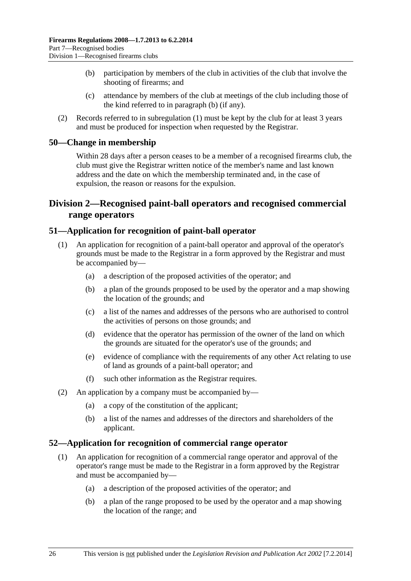- <span id="page-25-0"></span> (b) participation by members of the club in activities of the club that involve the shooting of firearms; and
- (c) attendance by members of the club at meetings of the club including those of the kind referred to in [paragraph \(b\)](#page-25-0) (if any).
- (2) Records referred to in [subregulation \(1\)](#page-24-0) must be kept by the club for at least 3 years and must be produced for inspection when requested by the Registrar.

#### **50—Change in membership**

Within 28 days after a person ceases to be a member of a recognised firearms club, the club must give the Registrar written notice of the member's name and last known address and the date on which the membership terminated and, in the case of expulsion, the reason or reasons for the expulsion.

## **Division 2—Recognised paint-ball operators and recognised commercial range operators**

#### **51—Application for recognition of paint-ball operator**

- (1) An application for recognition of a paint-ball operator and approval of the operator's grounds must be made to the Registrar in a form approved by the Registrar and must be accompanied by—
	- (a) a description of the proposed activities of the operator; and
	- (b) a plan of the grounds proposed to be used by the operator and a map showing the location of the grounds; and
	- (c) a list of the names and addresses of the persons who are authorised to control the activities of persons on those grounds; and
	- (d) evidence that the operator has permission of the owner of the land on which the grounds are situated for the operator's use of the grounds; and
	- (e) evidence of compliance with the requirements of any other Act relating to use of land as grounds of a paint-ball operator; and
	- (f) such other information as the Registrar requires.
- (2) An application by a company must be accompanied by—
	- (a) a copy of the constitution of the applicant;
	- (b) a list of the names and addresses of the directors and shareholders of the applicant.

#### **52—Application for recognition of commercial range operator**

- (1) An application for recognition of a commercial range operator and approval of the operator's range must be made to the Registrar in a form approved by the Registrar and must be accompanied by—
	- (a) a description of the proposed activities of the operator; and
	- (b) a plan of the range proposed to be used by the operator and a map showing the location of the range; and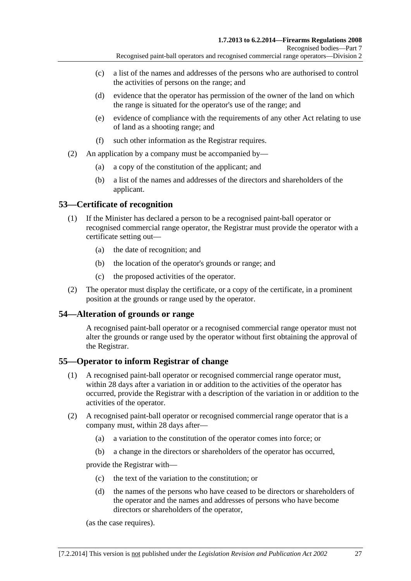- <span id="page-26-0"></span> (c) a list of the names and addresses of the persons who are authorised to control the activities of persons on the range; and
- (d) evidence that the operator has permission of the owner of the land on which the range is situated for the operator's use of the range; and
- (e) evidence of compliance with the requirements of any other Act relating to use of land as a shooting range; and
- (f) such other information as the Registrar requires.
- (2) An application by a company must be accompanied by—
	- (a) a copy of the constitution of the applicant; and
	- (b) a list of the names and addresses of the directors and shareholders of the applicant.

### **53—Certificate of recognition**

- (1) If the Minister has declared a person to be a recognised paint-ball operator or recognised commercial range operator, the Registrar must provide the operator with a certificate setting out—
	- (a) the date of recognition; and
	- (b) the location of the operator's grounds or range; and
	- (c) the proposed activities of the operator.
- (2) The operator must display the certificate, or a copy of the certificate, in a prominent position at the grounds or range used by the operator.

#### **54—Alteration of grounds or range**

A recognised paint-ball operator or a recognised commercial range operator must not alter the grounds or range used by the operator without first obtaining the approval of the Registrar.

#### **55—Operator to inform Registrar of change**

- (1) A recognised paint-ball operator or recognised commercial range operator must, within 28 days after a variation in or addition to the activities of the operator has occurred, provide the Registrar with a description of the variation in or addition to the activities of the operator.
- (2) A recognised paint-ball operator or recognised commercial range operator that is a company must, within 28 days after—
	- (a) a variation to the constitution of the operator comes into force; or
	- (b) a change in the directors or shareholders of the operator has occurred,

provide the Registrar with—

- (c) the text of the variation to the constitution; or
- (d) the names of the persons who have ceased to be directors or shareholders of the operator and the names and addresses of persons who have become directors or shareholders of the operator,

(as the case requires).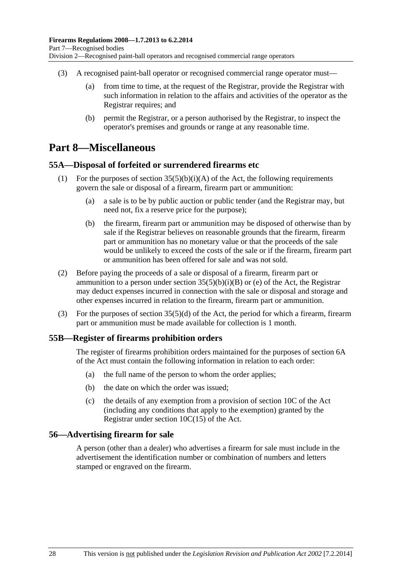- <span id="page-27-0"></span> (3) A recognised paint-ball operator or recognised commercial range operator must—
	- (a) from time to time, at the request of the Registrar, provide the Registrar with such information in relation to the affairs and activities of the operator as the Registrar requires; and
	- (b) permit the Registrar, or a person authorised by the Registrar, to inspect the operator's premises and grounds or range at any reasonable time.

## **Part 8—Miscellaneous**

#### **55A—Disposal of forfeited or surrendered firearms etc**

- (1) For the purposes of section  $35(5)(b)(i)(A)$  of the Act, the following requirements govern the sale or disposal of a firearm, firearm part or ammunition:
	- (a) a sale is to be by public auction or public tender (and the Registrar may, but need not, fix a reserve price for the purpose);
	- (b) the firearm, firearm part or ammunition may be disposed of otherwise than by sale if the Registrar believes on reasonable grounds that the firearm, firearm part or ammunition has no monetary value or that the proceeds of the sale would be unlikely to exceed the costs of the sale or if the firearm, firearm part or ammunition has been offered for sale and was not sold.
- (2) Before paying the proceeds of a sale or disposal of a firearm, firearm part or ammunition to a person under section  $35(5)(b)(i)(B)$  or (e) of the Act, the Registrar may deduct expenses incurred in connection with the sale or disposal and storage and other expenses incurred in relation to the firearm, firearm part or ammunition.
- (3) For the purposes of section 35(5)(d) of the Act, the period for which a firearm, firearm part or ammunition must be made available for collection is 1 month.

#### **55B—Register of firearms prohibition orders**

The register of firearms prohibition orders maintained for the purposes of section 6A of the Act must contain the following information in relation to each order:

- (a) the full name of the person to whom the order applies;
- (b) the date on which the order was issued;
- (c) the details of any exemption from a provision of section 10C of the Act (including any conditions that apply to the exemption) granted by the Registrar under section 10C(15) of the Act.

#### **56—Advertising firearm for sale**

A person (other than a dealer) who advertises a firearm for sale must include in the advertisement the identification number or combination of numbers and letters stamped or engraved on the firearm.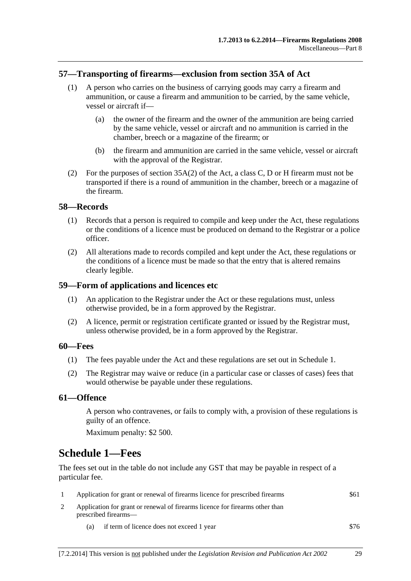#### <span id="page-28-0"></span>**57—Transporting of firearms—exclusion from section 35A of Act**

- (1) A person who carries on the business of carrying goods may carry a firearm and ammunition, or cause a firearm and ammunition to be carried, by the same vehicle, vessel or aircraft if—
	- (a) the owner of the firearm and the owner of the ammunition are being carried by the same vehicle, vessel or aircraft and no ammunition is carried in the chamber, breech or a magazine of the firearm; or
	- (b) the firearm and ammunition are carried in the same vehicle, vessel or aircraft with the approval of the Registrar.
- (2) For the purposes of section 35A(2) of the Act, a class C, D or H firearm must not be transported if there is a round of ammunition in the chamber, breech or a magazine of the firearm.

#### **58—Records**

- (1) Records that a person is required to compile and keep under the Act, these regulations or the conditions of a licence must be produced on demand to the Registrar or a police officer.
- (2) All alterations made to records compiled and kept under the Act, these regulations or the conditions of a licence must be made so that the entry that is altered remains clearly legible.

#### **59—Form of applications and licences etc**

- (1) An application to the Registrar under the Act or these regulations must, unless otherwise provided, be in a form approved by the Registrar.
- (2) A licence, permit or registration certificate granted or issued by the Registrar must, unless otherwise provided, be in a form approved by the Registrar.

#### **60—Fees**

- (1) The fees payable under the Act and these regulations are set out in [Schedule 1.](#page-28-0)
- (2) The Registrar may waive or reduce (in a particular case or classes of cases) fees that would otherwise be payable under these regulations.

#### **61—Offence**

A person who contravenes, or fails to comply with, a provision of these regulations is guilty of an offence.

Maximum penalty: \$2 500.

# **Schedule 1—Fees**

The fees set out in the table do not include any GST that may be payable in respect of a particular fee.

| Application for grant or renewal of firearms licence for prescribed firearms                         | \$61 |
|------------------------------------------------------------------------------------------------------|------|
| Application for grant or renewal of firearms licence for firearms other than<br>prescribed firearms— |      |
|                                                                                                      |      |

(a) if term of licence does not exceed 1 year \$76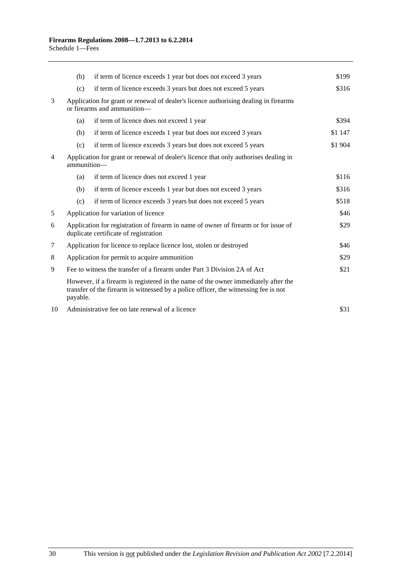|                | (b)                                                                                                                                  | if term of licence exceeds 1 year but does not exceed 3 years                                                                                                             | \$199   |
|----------------|--------------------------------------------------------------------------------------------------------------------------------------|---------------------------------------------------------------------------------------------------------------------------------------------------------------------------|---------|
|                | (c)                                                                                                                                  | if term of licence exceeds 3 years but does not exceed 5 years                                                                                                            | \$316   |
| 3              |                                                                                                                                      | Application for grant or renewal of dealer's licence authorising dealing in firearms<br>or firearms and ammunition-                                                       |         |
|                | (a)                                                                                                                                  | if term of licence does not exceed 1 year                                                                                                                                 | \$394   |
|                | (b)                                                                                                                                  | if term of licence exceeds 1 year but does not exceed 3 years                                                                                                             | \$1 147 |
|                | (c)                                                                                                                                  | if term of licence exceeds 3 years but does not exceed 5 years                                                                                                            | \$1 904 |
| $\overline{4}$ | Application for grant or renewal of dealer's licence that only authorises dealing in<br>ammunition-                                  |                                                                                                                                                                           |         |
|                | (a)                                                                                                                                  | if term of licence does not exceed 1 year                                                                                                                                 | \$116   |
|                | (b)                                                                                                                                  | if term of licence exceeds 1 year but does not exceed 3 years                                                                                                             | \$316   |
|                | (c)                                                                                                                                  | if term of licence exceeds 3 years but does not exceed 5 years                                                                                                            | \$518   |
| 5              |                                                                                                                                      | Application for variation of licence                                                                                                                                      | \$46    |
| 6              | Application for registration of firearm in name of owner of firearm or for issue of<br>\$29<br>duplicate certificate of registration |                                                                                                                                                                           |         |
| $\tau$         | Application for licence to replace licence lost, stolen or destroyed                                                                 |                                                                                                                                                                           | \$46    |
| 8              | Application for permit to acquire ammunition                                                                                         |                                                                                                                                                                           | \$29    |
| 9              | Fee to witness the transfer of a firearm under Part 3 Division 2A of Act                                                             |                                                                                                                                                                           | \$21    |
|                | payable.                                                                                                                             | However, if a firearm is registered in the name of the owner immediately after the<br>transfer of the firearm is witnessed by a police officer, the witnessing fee is not |         |
| 10             | Administrative fee on late renewal of a licence                                                                                      |                                                                                                                                                                           | \$31    |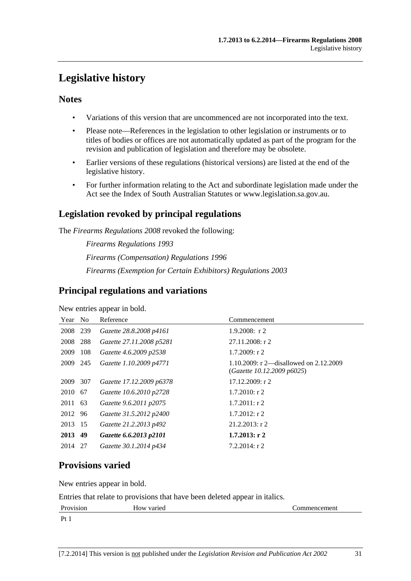# <span id="page-30-0"></span>**Legislative history**

## **Notes**

- Variations of this version that are uncommenced are not incorporated into the text.
- Please note—References in the legislation to other legislation or instruments or to titles of bodies or offices are not automatically updated as part of the program for the revision and publication of legislation and therefore may be obsolete.
- Earlier versions of these regulations (historical versions) are listed at the end of the legislative history.
- For further information relating to the Act and subordinate legislation made under the Act see the Index of South Australian Statutes or www.legislation.sa.gov.au.

## **Legislation revoked by principal regulations**

The *Firearms Regulations 2008* revoked the following:

*Firearms Regulations 1993 Firearms (Compensation) Regulations 1996 Firearms (Exemption for Certain Exhibitors) Regulations 2003*

## **Principal regulations and variations**

New entries appear in bold.

| Year No  |     | Reference                | Commencement                                                         |
|----------|-----|--------------------------|----------------------------------------------------------------------|
| 2008 239 |     | Gazette 28.8.2008 p4161  | $1.9.2008$ : r 2                                                     |
| 2008     | 288 | Gazette 27.11.2008 p5281 | 27.11.2008: r 2                                                      |
| 2009     | 108 | Gazette 4.6.2009 p2538   | $1.7.2009$ : r 2                                                     |
| 2009 245 |     | Gazette 1.10.2009 p4771  | 1.10.2009: r 2—disallowed on 2.12.2009<br>(Gazette 10.12.2009 p6025) |
| 2009     | 307 | Gazette 17.12.2009 p6378 | 17.12.2009: r 2                                                      |
| 2010     | 67  | Gazette 10.6.2010 p2728  | $1.7.2010$ : r 2                                                     |
| 2011     | 63  | Gazette 9.6.2011 p2075   | $1.7.2011$ : r 2                                                     |
| 2012     | 96  | Gazette 31.5.2012 p2400  | $1.7.2012$ : r 2                                                     |
| 2013 15  |     | Gazette 21.2.2013 p492   | $21.2.2013$ : r 2                                                    |
| 2013     | 49  | Gazette 6.6.2013 p2101   | $1.7.2013$ : r 2                                                     |
| 2014     | -27 | Gazette 30.1.2014 p434   | $7.2.2014$ : r 2                                                     |

# **Provisions varied**

New entries appear in bold.

Entries that relate to provisions that have been deleted appear in italics.

| Provision | How varied | Commencement |
|-----------|------------|--------------|
| $p_{t}$   |            |              |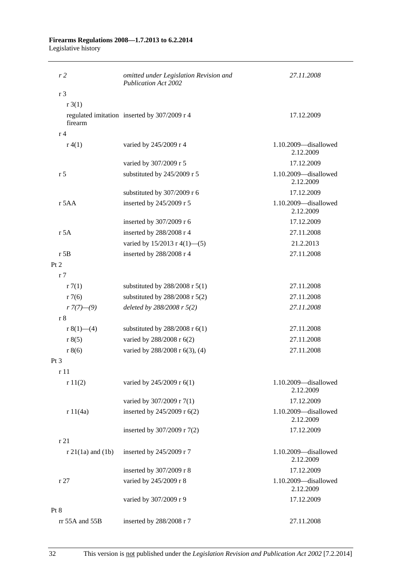#### **Firearms Regulations 2008—1.7.2013 to 6.2.2014**  Legislative history

| r <sub>2</sub>      | omitted under Legislation Revision and<br><b>Publication Act 2002</b> | 27.11.2008                        |
|---------------------|-----------------------------------------------------------------------|-----------------------------------|
| r <sub>3</sub>      |                                                                       |                                   |
| r3(1)               |                                                                       |                                   |
| firearm             | regulated imitation inserted by 307/2009 r 4                          | 17.12.2009                        |
| r <sub>4</sub>      |                                                                       |                                   |
| r(4(1))             | varied by 245/2009 r 4                                                | 1.10.2009-disallowed<br>2.12.2009 |
|                     | varied by 307/2009 r 5                                                | 17.12.2009                        |
| r <sub>5</sub>      | substituted by 245/2009 r 5                                           | 1.10.2009-disallowed<br>2.12.2009 |
|                     | substituted by 307/2009 r 6                                           | 17.12.2009                        |
| $r$ 5AA             | inserted by 245/2009 r 5                                              | 1.10.2009-disallowed<br>2.12.2009 |
|                     | inserted by 307/2009 r 6                                              | 17.12.2009                        |
| r 5A                | inserted by 288/2008 r 4                                              | 27.11.2008                        |
|                     | varied by $15/2013$ r 4(1)–(5)                                        | 21.2.2013                         |
| $r$ 5B              | inserted by 288/2008 r 4                                              | 27.11.2008                        |
| Pt 2                |                                                                       |                                   |
| r <sub>7</sub>      |                                                                       |                                   |
| r7(1)               | substituted by $288/2008$ r $5(1)$                                    | 27.11.2008                        |
| r7(6)               | substituted by $288/2008$ r $5(2)$                                    | 27.11.2008                        |
| $r \frac{7}{7}(-9)$ | deleted by $288/2008$ r $5(2)$                                        | 27.11.2008                        |
| r8                  |                                                                       |                                   |
| r $8(1)$ —(4)       | substituted by $288/2008$ r $6(1)$                                    | 27.11.2008                        |
| r 8(5)              | varied by 288/2008 r 6(2)                                             | 27.11.2008                        |
| r 8(6)              | varied by 288/2008 r 6(3), (4)                                        | 27.11.2008                        |
| Pt 3                |                                                                       |                                   |
| r11                 |                                                                       |                                   |
| r11(2)              | varied by 245/2009 r 6(1)                                             | 1.10.2009-disallowed<br>2.12.2009 |
|                     | varied by 307/2009 r 7(1)                                             | 17.12.2009                        |
| r 11(4a)            | inserted by 245/2009 r 6(2)                                           | 1.10.2009-disallowed<br>2.12.2009 |
|                     | inserted by 307/2009 r 7(2)                                           | 17.12.2009                        |
| r 21                |                                                                       |                                   |
| $r$ 21(1a) and (1b) | inserted by 245/2009 r 7                                              | 1.10.2009-disallowed<br>2.12.2009 |
|                     | inserted by 307/2009 r 8                                              | 17.12.2009                        |
| r27                 | varied by 245/2009 r 8                                                | 1.10.2009-disallowed<br>2.12.2009 |
|                     | varied by 307/2009 r 9                                                | 17.12.2009                        |
| Pt 8                |                                                                       |                                   |
| rr 55A and 55B      | inserted by 288/2008 r 7                                              | 27.11.2008                        |